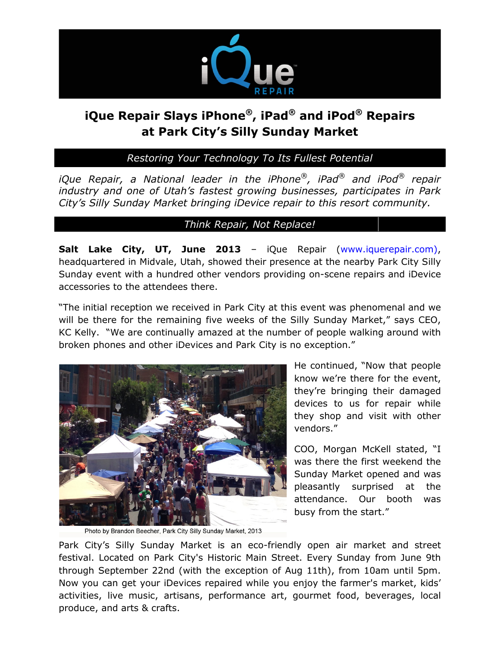

# **iQue Repair Slays iPhone®, iPad® and iPod® Repairs at Park City's Silly Sunday Market**

*Restoring Your Technology To Its Fullest Potential*

*iQue Repair, a National leader in the iPhone®, iPad® and iPod® repair industry and one of Utah's fastest growing businesses, participates in Park City's Silly Sunday Market bringing iDevice repair to this resort community.*

### *Think Repair, Not Replace!*

**Salt Lake City, UT, June 2013** – iQue Repair [\(www.iquerepair.com\)](http://www.iquerepair.com/), headquartered in Midvale, Utah, showed their presence at the nearby Park City Silly Sunday event with a hundred other vendors providing on-scene repairs and iDevice accessories to the attendees there.

"The initial reception we received in Park City at this event was phenomenal and we will be there for the remaining five weeks of the Silly Sunday Market," says CEO, KC Kelly. "We are continually amazed at the number of people walking around with broken phones and other iDevices and Park City is no exception."



He continued, "Now that people know we're there for the event, they're bringing their damaged devices to us for repair while they shop and visit with other vendors."

COO, Morgan McKell stated, "I was there the first weekend the Sunday Market opened and was pleasantly surprised at the attendance. Our booth was busy from the start."

Photo by Brandon Beecher, Park City Silly Sunday Market, 2013

Park City's Silly Sunday Market is an eco-friendly open air market and street festival. Located on Park City's Historic Main Street. Every Sunday from June 9th through September 22nd (with the exception of Aug 11th), from 10am until 5pm. Now you can get your iDevices repaired while you enjoy the farmer's market, kids' activities, live music, artisans, performance art, gourmet food, beverages, local produce, and arts & crafts.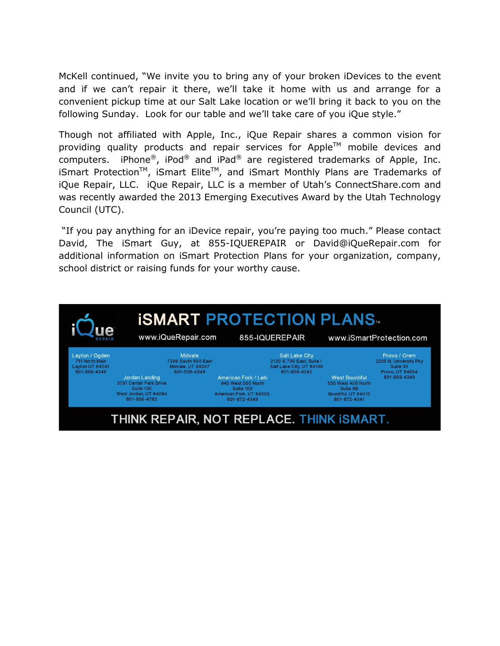McKell continued, "We invite you to bring any of your broken iDevices to the event and if we can't repair it there, we'll take it home with us and arrange for a convenient pickup time at our Salt Lake location or we'll bring it back to you on the following Sunday. Look for our table and we'll take care of you iQue style."

Though not affiliated with Apple, Inc., iQue Repair shares a common vision for providing quality products and repair services for Apple<sup>TM</sup> mobile devices and computers. iPhone®, iPod® and iPad® are registered trademarks of Apple, Inc. iSmart Protection<sup>™</sup>, iSmart Elite<sup>™</sup>, and iSmart Monthly Plans are Trademarks of iQue Repair, LLC. iQue Repair, LLC is a member of Utah's ConnectShare.com and was recently awarded the 2013 Emerging Executives Award by the Utah Technology Council (UTC).

"If you pay anything for an iDevice repair, you're paying too much." Please contact David, The iSmart Guy, at 855-IQUEREPAIR or David@iQueRepair.com for additional information on iSmart Protection Plans for your organization, company, school district or raising funds for your worthy cause.